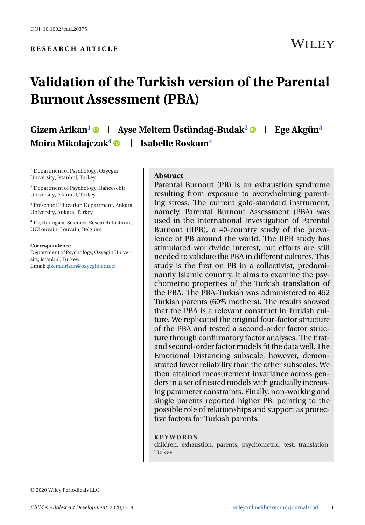## **Validation of the Turkish version of the Parental Burnout Assessment (PBA)**

**Gizem Arikan<sup>1</sup> • | Ayse Meltem Üstündağ-Budak<sup>2</sup> • | Ege Akgün<sup>3</sup> | Moira Mikolajczak<sup>4</sup> • Isabelle Roskam<sup>4</sup>** 

<sup>1</sup> Department of Psychology, Ozyegin University, Istanbul, Turkey

<sup>2</sup> Department of Psychology, Bahcesehir University, Istanbul, Turkey

<sup>3</sup> Preschool Education Department, Ankara University, Ankara, Turkey

<sup>4</sup> Psychological Sciences Research Institute, UCLouvain, Louvain, Belgium

**Correspondence** Department of Psychology, Ozyegin University, Istanbul, Turkey. Email: [gizem.arikan@ozyegin.edu.tr](mailto:gizem.arikan@ozyegin.edu.tr)

#### **Abstract**

Parental Burnout (PB) is an exhaustion syndrome resulting from exposure to overwhelming parenting stress. The current gold-standard instrument, namely, Parental Burnout Assessment (PBA) was used in the International Investigation of Parental Burnout (IIPB), a 40-country study of the prevalence of PB around the world. The IIPB study has stimulated worldwide interest, but efforts are still needed to validate the PBA in different cultures. This study is the first on PB in a collectivist, predominantly Islamic country. It aims to examine the psychometric properties of the Turkish translation of the PBA. The PBA-Turkish was administered to 452 Turkish parents (60% mothers). The results showed that the PBA is a relevant construct in Turkish culture. We replicated the original four-factor structure of the PBA and tested a second-order factor structure through confirmatory factor analyses. The firstand second-order factor models fit the data well. The Emotional Distancing subscale, however, demonstrated lower reliability than the other subscales. We then attained measurement invariance across genders in a set of nested models with gradually increasing parameter constraints. Finally, non-working and single parents reported higher PB, pointing to the possible role of relationships and support as protective factors for Turkish parents.

#### **KEYWORDS**

children, exhaustion, parents, psychometric, test, translation, **Turkey** 

© 2020 Wiley Periodicals LLC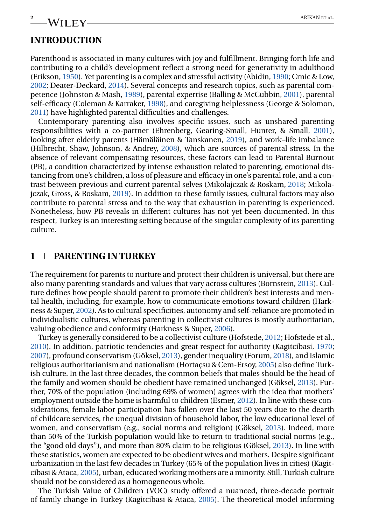# **INTRODUCTION**

Parenthood is associated in many cultures with joy and fulfillment. Bringing forth life and contributing to a child's development reflect a strong need for generativity in adulthood (Erikson, [1950\)](#page-14-0). Yet parenting is a complex and stressful activity (Abidin, [1990;](#page-13-0) Crnic & Low, [2002;](#page-13-0) Deater-Deckard, [2014\)](#page-13-0). Several concepts and research topics, such as parental competence (Johnston & Mash, [1989\)](#page-14-0), parental expertise (Balling & McCubbin, [2001\)](#page-13-0), parental self-efficacy (Coleman & Karraker, [1998\)](#page-13-0), and caregiving helplessness (George & Solomon, [2011\)](#page-14-0) have highlighted parental difficulties and challenges.

Contemporary parenting also involves specific issues, such as unshared parenting responsibilities with a co-partner (Ehrenberg, Gearing-Small, Hunter, & Small, [2001\)](#page-14-0), looking after elderly parents (Hämäläinen & Tanskanen, [2019\)](#page-14-0), and work–life imbalance (Hilbrecht, Shaw, Johnson, & Andrey, [2008\)](#page-14-0), which are sources of parental stress. In the absence of relevant compensating resources, these factors can lead to Parental Burnout (PB), a condition characterized by intense exhaustion related to parenting, emotional distancing from one's children, a loss of pleasure and efficacy in one's parental role, and a contrast between previous and current parental selves (Mikolajczak & Roskam, [2018;](#page-15-0) Mikolajczak, Gross, & Roskam, [2019\)](#page-15-0). In addition to these family issues, cultural factors may also contribute to parental stress and to the way that exhaustion in parenting is experienced. Nonetheless, how PB reveals in different cultures has not yet been documented. In this respect, Turkey is an interesting setting because of the singular complexity of its parenting culture.

#### **1 PARENTING IN TURKEY**

The requirement for parents to nurture and protect their children is universal, but there are also many parenting standards and values that vary across cultures (Bornstein, [2013\)](#page-13-0). Culture defines how people should parent to promote their children's best interests and mental health, including, for example, how to communicate emotions toward children (Harkness & Super, [2002\)](#page-14-0). As to cultural specificities, autonomy and self-reliance are promoted in individualistic cultures, whereas parenting in collectivist cultures is mostly authoritarian, valuing obedience and conformity (Harkness & Super, [2006\)](#page-14-0).

Turkey is generally considered to be a collectivist culture (Hofstede, [2012;](#page-14-0) Hofstede et al., [2010\)](#page-14-0). In addition, patriotic tendencies and great respect for authority (Kagitcibasi, [1970;](#page-14-0) [2007\)](#page-14-0), profound conservatism (Göksel, [2013\)](#page-14-0), gender inequality (Forum, [2018\)](#page-14-0), and Islamic religious authoritarianism and nationalism (Hortaçsu & Cem-Ersoy, [2005\)](#page-14-0) also define Turkish culture. In the last three decades, the common beliefs that males should be the head of the family and women should be obedient have remained unchanged (Göksel, [2013\)](#page-14-0). Further, 70% of the population (including 69% of women) agrees with the idea that mothers' employment outside the home is harmful to children (Esmer, [2012\)](#page-14-0). In line with these considerations, female labor participation has fallen over the last 50 years due to the dearth of childcare services, the unequal division of household labor, the low educational level of women, and conservatism (e.g., social norms and religion) (Göksel, [2013\)](#page-14-0). Indeed, more than 50% of the Turkish population would like to return to traditional social norms (e.g., the "good old days"), and more than 80% claim to be religious (Göksel, [2013\)](#page-14-0). In line with these statistics, women are expected to be obedient wives and mothers. Despite significant urbanization in the last few decades in Turkey (65% of the population lives in cities) (Kagitcibasi & Ataca, [2005\)](#page-14-0), urban, educated working mothers are a minority. Still, Turkish culture should not be considered as a homogeneous whole.

The Turkish Value of Children (VOC) study offered a nuanced, three-decade portrait of family change in Turkey (Kagitcibasi & Ataca, [2005\)](#page-14-0). The theoretical model informing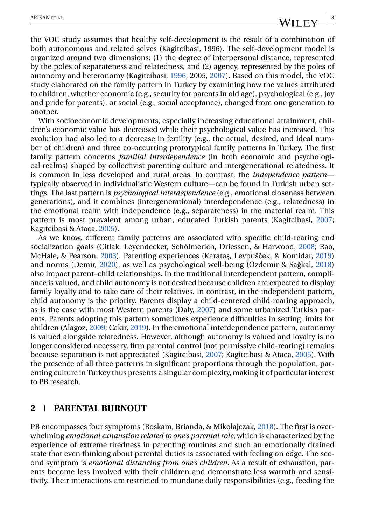the VOC study assumes that healthy self-development is the result of a combination of both autonomous and related selves (Kagitcibasi, 1996). The self-development model is organized around two dimensions: (1) the degree of interpersonal distance, represented by the poles of separateness and relatedness, and (2) agency, represented by the poles of autonomy and heteronomy (Kagitcibasi, [1996,](#page-14-0) 2005, [2007\)](#page-14-0). Based on this model, the VOC study elaborated on the family pattern in Turkey by examining how the values attributed to children, whether economic (e.g., security for parents in old age), psychological (e.g., joy and pride for parents), or social (e.g., social acceptance), changed from one generation to another.

With socioeconomic developments, especially increasing educational attainment, children's economic value has decreased while their psychological value has increased. This evolution had also led to a decrease in fertility (e.g., the actual, desired, and ideal number of children) and three co-occurring prototypical family patterns in Turkey. The first family pattern concerns *familial interdependence* (in both economic and psychological realms) shaped by collectivist parenting culture and intergenerational relatedness. It is common in less developed and rural areas. In contrast, the *independence pattern* typically observed in individualistic Western culture—can be found in Turkish urban settings. The last pattern is *psychological interdependence* (e.g., emotional closeness between generations), and it combines (intergenerational) interdependence (e.g., relatedness) in the emotional realm with independence (e.g., separateness) in the material realm. This pattern is most prevalent among urban, educated Turkish parents (Kagitcibasi, [2007;](#page-14-0) Kagitcibasi & Ataca, [2005\)](#page-14-0).

As we know, different family patterns are associated with specific child-rearing and socialization goals (Citlak, Leyendecker, Schölmerich, Driessen, & Harwood, [2008;](#page-13-0) Rao, McHale, & Pearson, [2003\)](#page-15-0). Parenting experiences (Karataş, Levpušček, & Komidar, [2019\)](#page-15-0) and norms (Demir, [2020\)](#page-13-0), as well as psychological well-being (Özdemir & Sağkal, [2018\)](#page-15-0) also impact parent–child relationships. In the traditional interdependent pattern, compliance is valued, and child autonomy is not desired because children are expected to display family loyalty and to take care of their relatives. In contrast, in the independent pattern, child autonomy is the priority. Parents display a child-centered child-rearing approach, as is the case with most Western parents (Daly, [2007\)](#page-13-0) and some urbanized Turkish parents. Parents adopting this pattern sometimes experience difficulties in setting limits for children (Alagoz, [2009;](#page-13-0) Cakir, [2019\)](#page-13-0). In the emotional interdependence pattern, autonomy is valued alongside relatedness. However, although autonomy is valued and loyalty is no longer considered necessary, firm parental control (not permissive child-rearing) remains because separation is not appreciated (Kagitcibasi, [2007;](#page-14-0) Kagitcibasi & Ataca, [2005\)](#page-14-0). With the presence of all three patterns in significant proportions through the population, parenting culture in Turkey thus presents a singular complexity, making it of particular interest to PB research.

#### **2 PARENTAL BURNOUT**

PB encompasses four symptoms (Roskam, Brianda, & Mikolajczak, [2018\)](#page-15-0). The first is overwhelming *emotional exhaustion related to one's parental role*, which is characterized by the experience of extreme tiredness in parenting routines and such an emotionally drained state that even thinking about parental duties is associated with feeling on edge. The second symptom is *emotional distancing from one's children*. As a result of exhaustion, parents become less involved with their children and demonstrate less warmth and sensitivity. Their interactions are restricted to mundane daily responsibilities (e.g., feeding the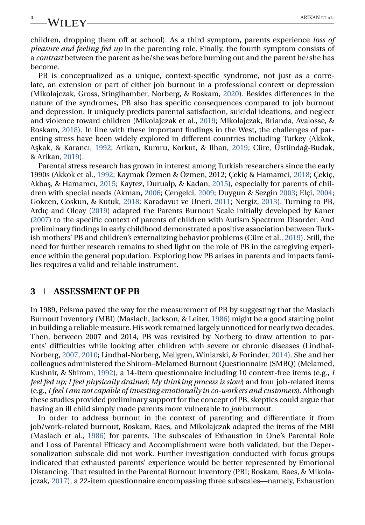children, dropping them off at school). As a third symptom, parents experience *loss of pleasure and feeling fed up* in the parenting role. Finally, the fourth symptom consists of a *contrast* between the parent as he/she was before burning out and the parent he/she has become.

PB is conceptualized as a unique, context-specific syndrome, not just as a correlate, an extension or part of either job burnout in a professional context or depression (Mikolajczak, Gross, Stinglhamber, Norberg, & Roskam, [2020\)](#page-15-0). Besides differences in the nature of the syndromes, PB also has specific consequences compared to job burnout and depression. It uniquely predicts parental satisfaction, suicidal ideations, and neglect and violence toward children (Mikolajczak et al., [2019;](#page-15-0) Mikolajczak, Brianda, Avalosse, & Roskam, [2018\)](#page-15-0). In line with these important findings in the West, the challenges of parenting stress have been widely explored in different countries including Turkey (Akkok, A¸skak, & Karancı, [1992;](#page-13-0) Arikan, Kumru, Korkut, & Ilhan, [2019;](#page-13-0) Cüre, Üstündag-Budak, ˘ & Arikan, [2019\)](#page-13-0).

Parental stress research has grown in interest among Turkish researchers since the early 1990s (Akkok et al., [1992;](#page-13-0) Kaymak Özmen & Özmen, 2012; Çekiç & Hamamci, [2018;](#page-13-0) Çekiç, Akbaş, & Hamamcı, [2015;](#page-13-0) Kaytez, Durualp, & Kadan, [2015\)](#page-15-0), especially for parents of children with special needs (Akman, [2006;](#page-13-0) Çengelci, [2009;](#page-13-0) Duygun & Sezgin [2003;](#page-13-0) Elçi, [2004;](#page-14-0) Gokcen, Coskun, & Kutuk, [2018;](#page-14-0) Karadavut ve Uneri, [2011;](#page-14-0) Nergiz, [2013\)](#page-15-0). Turning to PB, Ardıç and Olcay [\(2019\)](#page-13-0) adapted the Parents Burnout Scale initially developed by Kaner [\(2007\)](#page-14-0) to the specific context of parents of children with Autism Spectrum Disorder. And preliminary findings in early childhood demonstrated a positive association between Turkish mothers' PB and children's externalizing behavior problems (Cüre et al., [2019\)](#page-13-0). Still, the need for further research remains to shed light on the role of PB in the caregiving experience within the general population. Exploring how PB arises in parents and impacts families requires a valid and reliable instrument.

#### **3 ASSESSMENT OF PB**

In 1989, Pelsma paved the way for the measurement of PB by suggesting that the Maslach Burnout Inventory (MBI) (Maslach, Jackson, & Leiter, [1986\)](#page-15-0) might be a good starting point in building a reliable measure. His work remained largely unnoticed for nearly two decades. Then, between 2007 and 2014, PB was revisited by Norberg to draw attention to parents' difficulties while looking after children with severe or chronic diseases (Lindhal-Norberg, [2007,](#page-15-0) [2010;](#page-15-0) Lindhal-Norberg, Mellgren, Winiarski, & Forinder, [2014\)](#page-15-0). She and her colleagues administered the Shirom–Melamed Burnout Questionnaire (SMBQ) (Melamed, Kushnir, & Shirom, [1992\)](#page-15-0), a 14-item questionnaire including 10 context-free items (e.g., *I feel fed up; I feel physically drained; My thinking process is slow*) and four job-related items (e.g., *I feel I am not capable of investing emotionally in co-workers and customers*). Although these studies provided preliminary support for the concept of PB, skeptics could argue that having an ill child simply made parents more vulnerable to *job* burnout.

In order to address burnout in the context of parenting and differentiate it from job/work-related burnout, Roskam, Raes, and Mikolajczak adapted the items of the MBI (Maslach et al., [1986\)](#page-15-0) for parents. The subscales of Exhaustion in One's Parental Role and Loss of Parental Efficacy and Accomplishment were both validated, but the Depersonalization subscale did not work. Further investigation conducted with focus groups indicated that exhausted parents' experience would be better represented by Emotional Distancing. That resulted in the Parental Burnout Inventory (PBI; Roskam, Raes, & Mikolajczak, [2017\)](#page-15-0), a 22-item questionnaire encompassing three subscales—namely, Exhaustion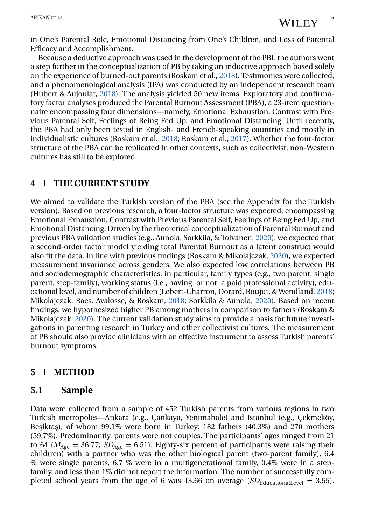in One's Parental Role, Emotional Distancing from One's Children, and Loss of Parental Efficacy and Accomplishment.

Because a deductive approach was used in the development of the PBI, the authors went a step further in the conceptualization of PB by taking an inductive approach based solely on the experience of burned-out parents (Roskam et al., [2018\)](#page-15-0). Testimonies were collected, and a phenomenological analysis (IPA) was conducted by an independent research team (Hubert & Aujoulat, [2018\)](#page-14-0). The analysis yielded 50 new items. Exploratory and confirmatory factor analyses produced the Parental Burnout Assessment (PBA), a 23-item questionnaire encompassing four dimensions—namely, Emotional Exhaustion, Contrast with Previous Parental Self, Feelings of Being Fed Up, and Emotional Distancing. Until recently, the PBA had only been tested in English- and French-speaking countries and mostly in individualistic cultures (Roskam et al., [2018;](#page-15-0) Roskam et al., [2017\)](#page-15-0). Whether the four-factor structure of the PBA can be replicated in other contexts, such as collectivist, non-Western cultures has still to be explored.

## **4 THE CURRENT STUDY**

We aimed to validate the Turkish version of the PBA (see the Appendix for the Turkish version). Based on previous research, a four-factor structure was expected, encompassing Emotional Exhaustion, Contrast with Previous Parental Self, Feelings of Being Fed Up, and Emotional Distancing. Driven by the theoretical conceptualization of Parental Burnout and previous PBA validation studies (e.g., Aunola, Sorkkila, & Tolvanen, [2020\)](#page-13-0), we expected that a second-order factor model yielding total Parental Burnout as a latent construct would also fit the data. In line with previous findings (Roskam & Mikolajczak, [2020\)](#page-15-0), we expected measurement invariance across genders. We also expected low correlations between PB and sociodemographic characteristics, in particular, family types (e.g., two parent, single parent, step-family), working status (i.e., having [or not] a paid professional activity), educational level, and number of children (Lebert-Charron, Dorard, Boujut, & Wendland, [2018;](#page-15-0) Mikolajczak, Raes, Avalosse, & Roskam, [2018;](#page-15-0) Sorkkila & Aunola, [2020\)](#page-16-0). Based on recent findings, we hypothesized higher PB among mothers in comparison to fathers (Roskam & Mikolajczak, [2020\)](#page-15-0). The current validation study aims to provide a basis for future investigations in parenting research in Turkey and other collectivist cultures. The measurement of PB should also provide clinicians with an effective instrument to assess Turkish parents' burnout symptoms.

## **5 METHOD**

#### **5.1 Sample**

Data were collected from a sample of 452 Turkish parents from various regions in two Turkish metropoles—Ankara (e.g., Çankaya, Yenimahale) and Istanbul (e.g., Çekmeköy, Beşiktaş), of whom 99.1% were born in Turkey: 182 fathers (40.3%) and 270 mothers (59.7%). Predominantly, parents were not couples. The participants' ages ranged from 21 to 64 ( $M_{\text{Age}} = 36.77$ ;  $SD_{\text{Age}} = 6.51$ ). Eighty-six percent of participants were raising their child(ren) with a partner who was the other biological parent (two-parent family), 6.4 % were single parents, 6.7 % were in a multigenerational family, 0.4% were in a stepfamily, and less than 1% did not report the information. The number of successfully completed school years from the age of 6 was 13.66 on average  $(SD_{\text{Educational Level}} = 3.55)$ .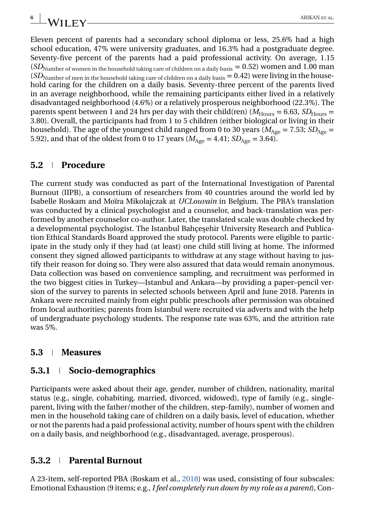Eleven percent of parents had a secondary school diploma or less, 25.6% had a high school education, 47% were university graduates, and 16.3% had a postgraduate degree. Seventy-five percent of the parents had a paid professional activity. On average, 1.15 (*SD*<sub>Number</sub> of women in the household taking care of children on a daily basis = 0.52) women and 1.00 man  $(SD<sub>Number</sub>$  of men in the household taking care of children on a daily basis  $= 0.42$ ) were living in the household caring for the children on a daily basis. Seventy-three percent of the parents lived in an average neighborhood, while the remaining participants either lived in a relatively disadvantaged neighborhood (4.6%) or a relatively prosperous neighborhood (22.3%). The parents spent between 1 and 24 hrs per day with their child(ren) ( $M<sub>Hours</sub> = 6.63$ ,  $SD<sub>Hours</sub> =$ 3.80). Overall, the participants had from 1 to 5 children (either biological or living in their household). The age of the youngest child ranged from 0 to 30 years ( $M_{\text{Age}} = 7.53$ ;  $SD_{\text{Age}} =$ 5.92), and that of the oldest from 0 to 17 years ( $M_{\text{Age}} = 4.41$ ;  $SD_{\text{Age}} = 3.64$ ).

### **5.2 Procedure**

The current study was conducted as part of the International Investigation of Parental Burnout (IIPB), a consortium of researchers from 40 countries around the world led by Isabelle Roskam and Moïra Mikolajczak at *UCLouvain* in Belgium. The PBA's translation was conducted by a clinical psychologist and a counselor, and back-translation was performed by another counselor co-author. Later, the translated scale was double checked by a developmental psychologist. The Istanbul Bahçesehir University Research and Publication Ethical Standards Board approved the study protocol. Parents were eligible to participate in the study only if they had (at least) one child still living at home. The informed consent they signed allowed participants to withdraw at any stage without having to justify their reason for doing so. They were also assured that data would remain anonymous. Data collection was based on convenience sampling, and recruitment was performed in the two biggest cities in Turkey—Istanbul and Ankara—by providing a paper–pencil version of the survey to parents in selected schools between April and June 2018. Parents in Ankara were recruited mainly from eight public preschools after permission was obtained from local authorities; parents from Istanbul were recruited via adverts and with the help of undergraduate psychology students. The response rate was 63%, and the attrition rate was 5%.

#### **5.3 Measures**

#### **5.3.1 Socio-demographics**

Participants were asked about their age, gender, number of children, nationality, marital status (e.g., single, cohabiting, married, divorced, widowed), type of family (e.g., singleparent, living with the father/mother of the children, step-family), number of women and men in the household taking care of children on a daily basis, level of education, whether or not the parents had a paid professional activity, number of hours spent with the children on a daily basis, and neighborhood (e.g., disadvantaged, average, prosperous).

#### **5.3.2 Parental Burnout**

A 23-item, self-reported PBA (Roskam et al., [2018\)](#page-15-0) was used, consisting of four subscales: Emotional Exhaustion (9 items; e.g., *I feel completely run down by my role as a parent*), Con-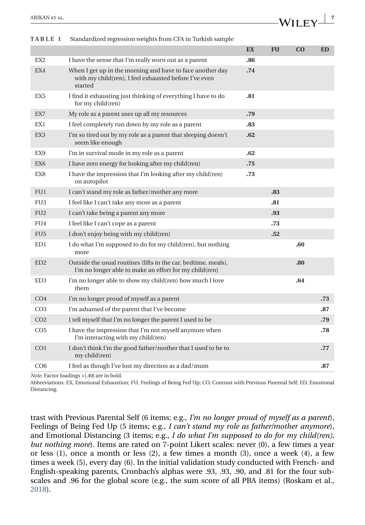<span id="page-6-0"></span>

| <b>TABLE 1</b>  | Standardized regression weights from CFA in Turkish sample                                                                    |     |           |          |           |
|-----------------|-------------------------------------------------------------------------------------------------------------------------------|-----|-----------|----------|-----------|
|                 |                                                                                                                               | EX  | <b>FU</b> | $\bf CO$ | <b>ED</b> |
| EX <sub>2</sub> | I have the sense that I'm really worn out as a parent                                                                         | .86 |           |          |           |
| EX4             | When I get up in the morning and have to face another day<br>with my child(ren), I feel exhausted before I've even<br>started | .74 |           |          |           |
| EX <sub>5</sub> | I find it exhausting just thinking of everything I have to do<br>for my child(ren)                                            | .81 |           |          |           |
| EX7             | My role as a parent uses up all my resources                                                                                  | .79 |           |          |           |
| EX <sub>1</sub> | I feel completely run down by my role as a parent                                                                             | .83 |           |          |           |
| EX <sub>3</sub> | I'm so tired out by my role as a parent that sleeping doesn't<br>seem like enough                                             | .62 |           |          |           |
| EX9             | I'm in survival mode in my role as a parent                                                                                   | .62 |           |          |           |
| EX <sub>6</sub> | I have zero energy for looking after my child(ren)                                                                            | .75 |           |          |           |
| EX8             | I have the impression that I'm looking after my child(ren)<br>on autopilot                                                    | .73 |           |          |           |
| FU1             | I can't stand my role as father/mother any more                                                                               |     | .83       |          |           |
| FU <sub>3</sub> | I feel like I can't take any more as a parent                                                                                 |     | .81       |          |           |
| FU <sub>2</sub> | I can't take being a parent any more                                                                                          |     | .93       |          |           |
| FIJ4            | I feel like I can't cope as a parent                                                                                          |     | .73       |          |           |
| FU <sub>5</sub> | I don't enjoy being with my child (ren)                                                                                       |     | .52       |          |           |
| ED1             | I do what I'm supposed to do for my child(ren), but nothing<br>more                                                           |     |           | .60      |           |
| ED2             | Outside the usual routines (lifts in the car. bedtime, meals),<br>I'm no longer able to make an effort for my child(ren)      |     |           | .80      |           |
| ED <sub>3</sub> | I'm no longer able to show my child(ren) how much I love<br>them                                                              |     |           | .64      |           |
| CO <sub>4</sub> | I'm no longer proud of myself as a parent                                                                                     |     |           |          | .73       |
| CO <sub>3</sub> | I'm ashamed of the parent that I've become                                                                                    |     |           |          | .87       |
| CO <sub>2</sub> | I tell myself that I'm no longer the parent I used to be                                                                      |     |           |          | .79       |
| CO <sub>5</sub> | I have the impression that I'm not myself anymore when<br>I'm interacting with my child(ren)                                  |     |           |          | .78       |
| CO <sub>1</sub> | I don't think I'm the good father/mother that I used to be to<br>my child(ren)                                                |     |           |          | .77       |
| CO <sub>6</sub> | I feel as though I've lost my direction as a dad/mum                                                                          |     |           |          | .87       |
|                 |                                                                                                                               |     |           |          |           |

| TABLE 1 | Standardized regression weights from CFA in Turkish sample |
|---------|------------------------------------------------------------|
|         |                                                            |

*Note*. Factor loadings >|.40| are in bold.

Abbreviations: EX, Emotional Exhaustion; FU, Feelings of Being Fed Up; CO, Contrast with Previous Parental Self; ED, Emotional Distancing.

trast with Previous Parental Self (6 items; e.g., *I'm no longer proud of myself as a parent*), Feelings of Being Fed Up (5 items; e.g., *I can't stand my role as father/mother anymore*), and Emotional Distancing (3 items; e.g., *I do what I'm supposed to do for my child(ren), but nothing more*). Items are rated on 7-point Likert scales: never (0), a few times a year or less (1), once a month or less (2), a few times a month (3), once a week (4), a few times a week (5), every day (6). In the initial validation study conducted with French- and English-speaking parents, Cronbach's alphas were .93, .93, .90, and .81 for the four subscales and .96 for the global score (e.g., the sum score of all PBA items) (Roskam et al., [2018\)](#page-15-0).

**WILFY**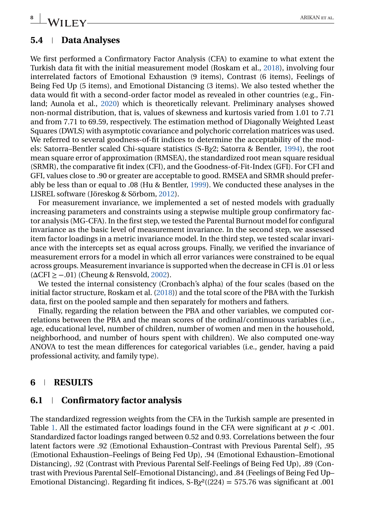## **8** ARIKAN ET AL.

## **5.4 Data Analyses**

We first performed a Confirmatory Factor Analysis (CFA) to examine to what extent the Turkish data fit with the initial measurement model (Roskam et al., [2018\)](#page-15-0), involving four interrelated factors of Emotional Exhaustion (9 items), Contrast (6 items), Feelings of Being Fed Up (5 items), and Emotional Distancing (3 items). We also tested whether the data would fit with a second-order factor model as revealed in other countries (e.g., Finland; Aunola et al., [2020\)](#page-13-0) which is theoretically relevant. Preliminary analyses showed non-normal distribution, that is, values of skewness and kurtosis varied from 1.01 to 7.71 and from 7.71 to 69.59, respectively. The estimation method of Diagonally Weighted Least Squares (DWLS) with asymptotic covariance and polychoric correlation matrices was used. We referred to several goodness-of-fit indices to determine the acceptability of the models: Satorra–Bentler scaled Chi-square statistics (S-B*χ*2; Satorra & Bentler, [1994\)](#page-15-0), the root mean square error of approximation (RMSEA), the standardized root mean square residual (SRMR), the comparative fit index (CFI), and the Goodness-of-Fit-Index (GFI). For CFI and GFI, values close to .90 or greater are acceptable to good. RMSEA and SRMR should preferably be less than or equal to .08 (Hu & Bentler, [1999\)](#page-14-0). We conducted these analyses in the LISREL software (Jöreskog & Sörbom, [2012\)](#page-14-0).

For measurement invariance, we implemented a set of nested models with gradually increasing parameters and constraints using a stepwise multiple group confirmatory factor analysis (MG-CFA). In the first step, we tested the Parental Burnout model for configural invariance as the basic level of measurement invariance. In the second step, we assessed item factor loadings in a metric invariance model. In the third step, we tested scalar invariance with the intercepts set as equal across groups. Finally, we verified the invariance of measurement errors for a model in which all error variances were constrained to be equal across groups. Measurement invariance is supported when the decrease in CFI is .01 or less  $(\Delta \text{CFI} > -.01)$  (Cheung & Rensvold, [2002\)](#page-13-0).

We tested the internal consistency (Cronbach's alpha) of the four scales (based on the initial factor structure, Roskam et al. [\(2018\)](#page-15-0)) and the total score of the PBA with the Turkish data, first on the pooled sample and then separately for mothers and fathers.

Finally, regarding the relation between the PBA and other variables, we computed correlations between the PBA and the mean scores of the ordinal/continuous variables (i.e., age, educational level, number of children, number of women and men in the household, neighborhood, and number of hours spent with children). We also computed one-way ANOVA to test the mean differences for categorical variables (i.e., gender, having a paid professional activity, and family type).

#### **6 RESULTS**

## **6.1 Confirmatory factor analysis**

The standardized regression weights from the CFA in the Turkish sample are presented in Table [1.](#page-6-0) All the estimated factor loadings found in the CFA were significant at  $p < .001$ . Standardized factor loadings ranged between 0.52 and 0.93. Correlations between the four latent factors were .92 (Emotional Exhaustion–Contrast with Previous Parental Self), .95 (Emotional Exhaustion–Feelings of Being Fed Up), .94 (Emotional Exhaustion–Emotional Distancing), .92 (Contrast with Previous Parental Self-Feelings of Being Fed Up), .89 (Contrast with Previous Parental Self–Emotional Distancing), and .84 (Feelings of Being Fed Up– Emotional Distancing). Regarding fit indices,  $S-B\chi^2((224) = 575.76$  was significant at .001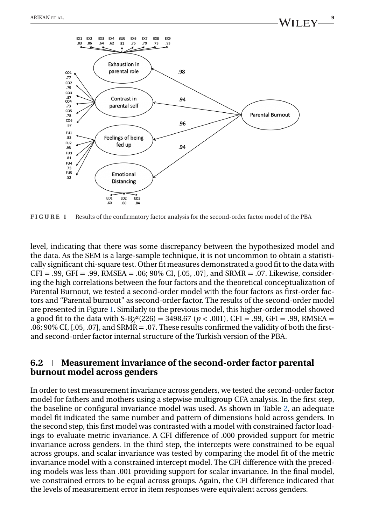

**FIGURE 1** Results of the confirmatory factor analysis for the second-order factor model of the PBA

level, indicating that there was some discrepancy between the hypothesized model and the data. As the SEM is a large-sample technique, it is not uncommon to obtain a statistically significant chi-square test. Other fit measures demonstrated a good fit to the data with  $CFI = .99, GFI = .99, RMSEA = .06; 90\% CI, [.05, .07], and SRMR = .07. Likewise, consider$ ing the high correlations between the four factors and the theoretical conceptualization of Parental Burnout, we tested a second-order model with the four factors as first-order factors and "Parental burnout" as second-order factor. The results of the second-order model are presented in Figure 1. Similarly to the previous model, this higher-order model showed a good fit to the data with S-B*χ*²(226) = 3498.67 (*p* < .001), CFI = .99, GFI = .99, RMSEA = .06; 90% CI, [.05, .07], and SRMR = .07. These results confirmed the validity of both the firstand second-order factor internal structure of the Turkish version of the PBA.

#### **6.2 Measurement invariance of the second-order factor parental burnout model across genders**

In order to test measurement invariance across genders, we tested the second-order factor model for fathers and mothers using a stepwise multigroup CFA analysis. In the first step, the baseline or configural invariance model was used. As shown in Table [2,](#page-9-0) an adequate model fit indicated the same number and pattern of dimensions hold across genders. In the second step, this first model was contrasted with a model with constrained factor loadings to evaluate metric invariance. A CFI difference of .000 provided support for metric invariance across genders. In the third step, the intercepts were constrained to be equal across groups, and scalar invariance was tested by comparing the model fit of the metric invariance model with a constrained intercept model. The CFI difference with the preceding models was less than .001 providing support for scalar invariance. In the final model, we constrained errors to be equal across groups. Again, the CFI difference indicated that the levels of measurement error in item responses were equivalent across genders.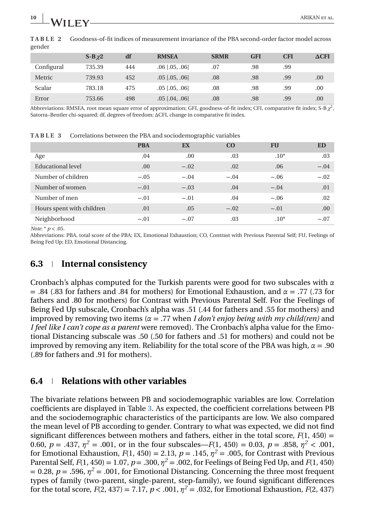| gender     |              |     |                    |             |            |            |              |
|------------|--------------|-----|--------------------|-------------|------------|------------|--------------|
|            | $S-B\gamma2$ | df  | <b>RMSEA</b>       | <b>SRMR</b> | <b>GFI</b> | <b>CFI</b> | $\Delta$ CFI |
| Configural | 735.39       | 444 | $.06$ $[.05, .06]$ | .07         | .98        | .99        |              |
| Metric     | 739.93       | 452 | $.05$ $[.05, .06]$ | .08         | .98        | .99        | 00.          |
| Scalar     | 783.18       | 475 | $.05$ $[.05, .06]$ | .08         | .98        | .99        | .00.         |
| Error      | 753.66       | 498 | $.05$ $[.04, .06]$ | .08         | .98        | .99        | .00          |

<span id="page-9-0"></span>**TABLE 2** Goodness-of-fit indices of measurement invariance of the PBA second-order factor model across

Abbreviations: RMSEA, root mean square error of approximation; GFI, goodness-of-fit index; CFI, comparative fit index; S-B  $\chi^2$ Satorra–Bentler chi-squared; df, degrees of freedom; ΔCFI, change in comparative fit index.

PBA EX CO FU ED Age 2011 .04 .00 .03 .10\* .03 Educational level  $\qquad \qquad 00 \qquad \qquad -02 \qquad \qquad 00 \qquad \qquad -04$ Number of children  $-0.05$   $-0.04$   $-0.04$   $-0.06$   $-0.02$ Number of women  $-0.01 -0.03 -0.04 -0.01$  .01  $-0.04 -0.01 -0.01$ Number of men −.01 −.01 .04 −.06 .02 Hours spent with children  $.01$  .05  $-.02$   $-.01$  .00 Neighborhood −.01 −.07 .03 .10\* −.07

**TABLE 3** Correlations between the PBA and sociodemographic variables

*Note*. \* *p* < .05.

Abbreviations: PBA, total score of the PBA; EX, Emotional Exhaustion; CO, Contrast with Previous Parental Self; FU, Feelings of Being Fed Up; ED, Emotional Distancing.

### **6.3 Internal consistency**

Cronbach's alphas computed for the Turkish parents were good for two subscales with *α* = .84 (.83 for fathers and .84 for mothers) for Emotional Exhaustion, and *α* = .77 (.73 for fathers and .80 for mothers) for Contrast with Previous Parental Self. For the Feelings of Being Fed Up subscale, Cronbach's alpha was .51 (.44 for fathers and .55 for mothers) and improved by removing two items (*α* = .77 when *I don't enjoy being with my child(ren)* and *I feel like I can't cope as a parent* were removed). The Cronbach's alpha value for the Emotional Distancing subscale was .50 (.50 for fathers and .51 for mothers) and could not be improved by removing any item. Reliability for the total score of the PBA was high, *α* = .90 (.89 for fathers and .91 for mothers).

#### **6.4 Relations with other variables**

The bivariate relations between PB and sociodemographic variables are low. Correlation coefficients are displayed in Table 3. As expected, the coefficient correlations between PB and the sociodemographic characteristics of the participants are low. We also compared the mean level of PB according to gender. Contrary to what was expected, we did not find significant differences between mothers and fathers, either in the total score,  $F(1, 450) =$ 0.60,  $p = .437$ ,  $\eta^2 = .001$ , or in the four subscales—*F*(1, 450) = 0.03,  $p = .858$ ,  $\eta^2 < .001$ , for Emotional Exhaustion,  $F(1, 450) = 2.13$ ,  $p = .145$ ,  $n^2 = .005$ , for Contrast with Previous Parental Self,  $F(1, 450) = 1.07$ ,  $p = .300$ ,  $\eta^2 = .002$ , for Feelings of Being Fed Up, and  $F(1, 450)$  $= 0.28$ ,  $p = .596$ ,  $\eta^2 = .001$ , for Emotional Distancing. Concerning the three most frequent types of family (two-parent, single-parent, step-family), we found significant differences for the total score,  $F(2, 437) = 7.17$ ,  $p < .001$ ,  $\eta^2 = .032$ , for Emotional Exhaustion,  $F(2, 437)$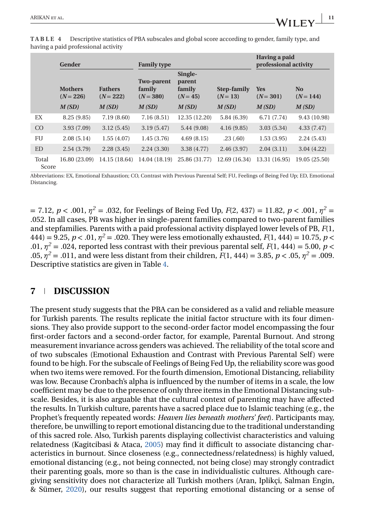|                | Gender                        |                               | <b>Family type</b> |                                                                                                                    | Having a paid<br>professional activity |                           |                               |  |
|----------------|-------------------------------|-------------------------------|--------------------|--------------------------------------------------------------------------------------------------------------------|----------------------------------------|---------------------------|-------------------------------|--|
|                | <b>Mothers</b><br>$(N = 226)$ | <b>Fathers</b><br>$(N = 222)$ |                    | Single-<br><b>Two-parent</b><br>parent<br>family<br>family<br>Step-family<br>$(N = 380)$<br>$(N = 45)$<br>$(N=13)$ |                                        | <b>Yes</b><br>$(N = 301)$ | N <sub>0</sub><br>$(N = 144)$ |  |
|                | M(SD)                         | M(SD)                         | M(SD)              | M(SD)                                                                                                              | M(SD)                                  | M(SD)                     | M(SD)                         |  |
| EX             | 8.25(9.85)                    | 7.19(8.60)                    | 7.16(8.51)         | 12.35 (12.20)                                                                                                      | 5.84(6.39)                             | 6.71(7.74)                | 9.43 (10.98)                  |  |
| CO             | 3.93(7.09)                    | 3.12(5.45)                    | 3.19(5.47)         | 5.44 (9.08)                                                                                                        | 4.16(9.85)                             | 3.03(5.34)                | 4.33(7.47)                    |  |
| FU             | 2.08(5.14)                    | 1.55(4.07)                    | 1.45(3.76)         | 4.69(8.15)                                                                                                         | .23(.60)                               | 1.53(3.95)                | 2.24(5.43)                    |  |
| <b>ED</b>      | 2.54(3.79)                    | 2.28(3.45)                    | 2.24(3.30)         | 3.38(4.77)                                                                                                         | 2.46(3.97)                             | 2.04(3.11)                | 3.04(4.22)                    |  |
| Total<br>Score | 16.80 (23.09)                 | 14.15 (18.64)                 | 14.04 (18.19)      | 25.86 (31.77)                                                                                                      | 12.69 (16.34)                          | 13.31 (16.95)             | 19.05 (25.50)                 |  |

**TABLE 4** Descriptive statistics of PBA subscales and global score according to gender, family type, and having a paid professional activity

Abbreviations: EX, Emotional Exhaustion; CO, Contrast with Previous Parental Self; FU, Feelings of Being Fed Up; ED, Emotional Distancing.

 $= 7.12, p < .001, \eta^2 = .032$ , for Feelings of Being Fed Up,  $F(2, 437) = 11.82, p < .001, \eta^2 = .001$ .052. In all cases, PB was higher in single-parent families compared to two-parent families and stepfamilies. Parents with a paid professional activity displayed lower levels of PB, *F*(1, 444) = 9.25,  $p < 0.01$ ,  $\eta^2 = 0.020$ . They were less emotionally exhausted,  $F(1, 444) = 10.75$ ,  $p <$ .01,  $\eta^2$  = .024, reported less contrast with their previous parental self,  $F(1, 444) = 5.00$ ,  $p <$ .05, *η<sup>2</sup>* = .011, and were less distant from their children, *F*(1, 444) = 3.85, *p* < .05, *η<sup>2</sup>* = .009. Descriptive statistics are given in Table 4.

## **7 DISCUSSION**

The present study suggests that the PBA can be considered as a valid and reliable measure for Turkish parents. The results replicate the initial factor structure with its four dimensions. They also provide support to the second-order factor model encompassing the four first-order factors and a second-order factor, for example, Parental Burnout. And strong measurement invariance across genders was achieved. The reliability of the total score and of two subscales (Emotional Exhaustion and Contrast with Previous Parental Self ) were found to be high. For the subscale of Feelings of Being Fed Up, the reliability score was good when two items were removed. For the fourth dimension, Emotional Distancing, reliability was low. Because Cronbach's alpha is influenced by the number of items in a scale, the low coefficient may be due to the presence of only three items in the Emotional Distancing subscale. Besides, it is also arguable that the cultural context of parenting may have affected the results. In Turkish culture, parents have a sacred place due to Islamic teaching (e.g., the Prophet's frequently repeated words: *Heaven lies beneath mothers' feet*). Participants may, therefore, be unwilling to report emotional distancing due to the traditional understanding of this sacred role. Also, Turkish parents displaying collectivist characteristics and valuing relatedness (Kagitcibasi & Ataca, [2005\)](#page-14-0) may find it difficult to associate distancing characteristics in burnout. Since closeness (e.g., connectedness/relatedness) is highly valued, emotional distancing (e.g., not being connected, not being close) may strongly contradict their parenting goals, more so than is the case in individualistic cultures. Although caregiving sensitivity does not characterize all Turkish mothers (Aran, Iplikçi, Salman Engin, & Sümer, [2020\)](#page-13-0), our results suggest that reporting emotional distancing or a sense of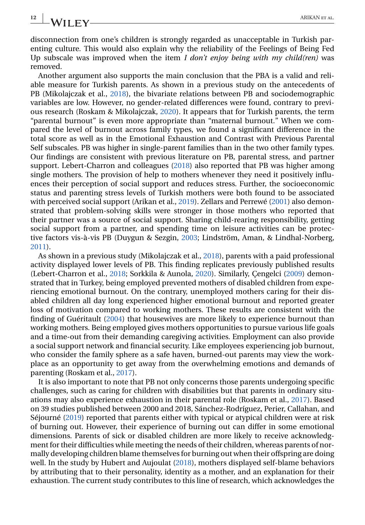disconnection from one's children is strongly regarded as unacceptable in Turkish parenting culture. This would also explain why the reliability of the Feelings of Being Fed Up subscale was improved when the item *I don't enjoy being with my child(ren)* was removed.

Another argument also supports the main conclusion that the PBA is a valid and reliable measure for Turkish parents. As shown in a previous study on the antecedents of PB (Mikolajczak et al., [2018\)](#page-15-0), the bivariate relations between PB and sociodemographic variables are low. However, no gender-related differences were found, contrary to previous research (Roskam & Mikolajczak, [2020\)](#page-15-0). It appears that for Turkish parents, the term "parental burnout" is even more appropriate than "maternal burnout." When we compared the level of burnout across family types, we found a significant difference in the total score as well as in the Emotional Exhaustion and Contrast with Previous Parental Self subscales. PB was higher in single-parent families than in the two other family types. Our findings are consistent with previous literature on PB, parental stress, and partner support. Lebert-Charron and colleagues [\(2018\)](#page-14-0) also reported that PB was higher among single mothers. The provision of help to mothers whenever they need it positively influences their perception of social support and reduces stress. Further, the socioeconomic status and parenting stress levels of Turkish mothers were both found to be associated with perceived social support (Arikan et al., [2019\)](#page-13-0). Zellars and Perrewé [\(2001\)](#page-16-0) also demonstrated that problem-solving skills were stronger in those mothers who reported that their partner was a source of social support. Sharing child-rearing responsibility, getting social support from a partner, and spending time on leisure activities can be protective factors vis-à-vis PB (Duygun & Sezgin, [2003;](#page-13-0) Lindström, Aman, & Lindhal-Norberg, [2011\)](#page-15-0).

As shown in a previous study (Mikolajczak et al., [2018\)](#page-15-0), parents with a paid professional activity displayed lower levels of PB. This finding replicates previously published results (Lebert-Charron et al., [2018;](#page-15-0) Sorkkila & Aunola, [2020\)](#page-16-0). Similarly, Çengelci [\(2009\)](#page-13-0) demonstrated that in Turkey, being employed prevented mothers of disabled children from experiencing emotional burnout. On the contrary, unemployed mothers caring for their disabled children all day long experienced higher emotional burnout and reported greater loss of motivation compared to working mothers. These results are consistent with the finding of Guéritault [\(2004\)](#page-14-0) that housewives are more likely to experience burnout than working mothers. Being employed gives mothers opportunities to pursue various life goals and a time-out from their demanding caregiving activities. Employment can also provide a social support network and financial security. Like employees experiencing job burnout, who consider the family sphere as a safe haven, burned-out parents may view the workplace as an opportunity to get away from the overwhelming emotions and demands of parenting (Roskam et al., [2017\)](#page-15-0).

It is also important to note that PB not only concerns those parents undergoing specific challenges, such as caring for children with disabilities but that parents in ordinary situations may also experience exhaustion in their parental role (Roskam et al., [2017\)](#page-15-0). Based on 39 studies published between 2000 and 2018, Sánchez-Rodríguez, Perier, Callahan, and Séjourné [\(2019\)](#page-15-0) reported that parents either with typical or atypical children were at risk of burning out. However, their experience of burning out can differ in some emotional dimensions. Parents of sick or disabled children are more likely to receive acknowledgment for their difficulties while meeting the needs of their children, whereas parents of normally developing children blame themselves for burning out when their offspring are doing well. In the study by Hubert and Aujoulat [\(2018\)](#page-14-0), mothers displayed self-blame behaviors by attributing that to their personality, identity as a mother, and an explanation for their exhaustion. The current study contributes to this line of research, which acknowledges the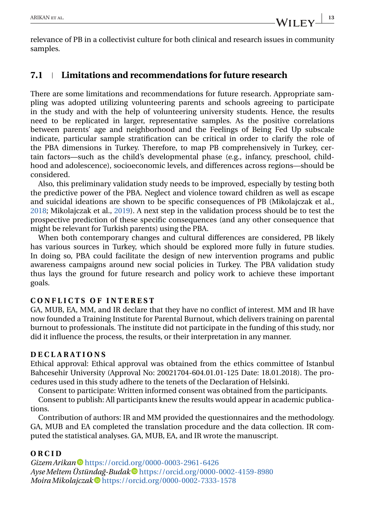relevance of PB in a collectivist culture for both clinical and research issues in community samples.

## **7.1 Limitations and recommendations for future research**

There are some limitations and recommendations for future research. Appropriate sampling was adopted utilizing volunteering parents and schools agreeing to participate in the study and with the help of volunteering university students. Hence, the results need to be replicated in larger, representative samples. As the positive correlations between parents' age and neighborhood and the Feelings of Being Fed Up subscale indicate, particular sample stratification can be critical in order to clarify the role of the PBA dimensions in Turkey. Therefore, to map PB comprehensively in Turkey, certain factors—such as the child's developmental phase (e.g., infancy, preschool, childhood and adolescence), socioeconomic levels, and differences across regions—should be considered.

Also, this preliminary validation study needs to be improved, especially by testing both the predictive power of the PBA. Neglect and violence toward children as well as escape and suicidal ideations are shown to be specific consequences of PB (Mikolajczak et al., [2018;](#page-15-0) Mikolajczak et al., [2019\)](#page-15-0). A next step in the validation process should be to test the prospective prediction of these specific consequences (and any other consequence that might be relevant for Turkish parents) using the PBA.

When both contemporary changes and cultural differences are considered, PB likely has various sources in Turkey, which should be explored more fully in future studies. In doing so, PBA could facilitate the design of new intervention programs and public awareness campaigns around new social policies in Turkey. The PBA validation study thus lays the ground for future research and policy work to achieve these important goals.

#### **CONFLICTS OF INTEREST**

GA, MUB, EA, MM, and IR declare that they have no conflict of interest. MM and IR have now founded a Training Institute for Parental Burnout, which delivers training on parental burnout to professionals. The institute did not participate in the funding of this study, nor did it influence the process, the results, or their interpretation in any manner.

#### **DECLARATIONS**

Ethical approval: Ethical approval was obtained from the ethics committee of Istanbul Bahcesehir University (Approval No: 20021704-604.01.01-125 Date: 18.01.2018). The procedures used in this study adhere to the tenets of the Declaration of Helsinki.

Consent to participate: Written informed consent was obtained from the participants.

Consent to publish: All participants knew the results would appear in academic publications.

Contribution of authors: IR and MM provided the questionnaires and the methodology. GA, MUB and EA completed the translation procedure and the data collection. IR computed the statistical analyses. GA, MUB, EA, and IR wrote the manuscript.

## **ORCID**

*Gizem Arikan* <https://orcid.org/0000-0003-2961-6426> *AyseMeltem Üstündag-Budak ˘* <https://orcid.org/0000-0002-4159-8980> *Moira Mikolajczak* <https://orcid.org/0000-0002-7333-1578>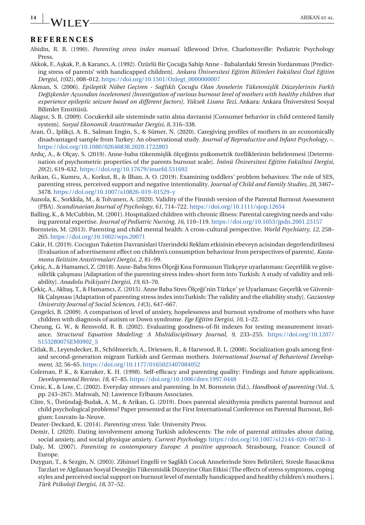# <span id="page-13-0"></span>**14 ARIKAN ET AL.** ARIKAN ET AL.

#### **REFERENCES**

- Abidin, R. R. (1990). *Parenting stress index manual*. Idlewood Drive, Charlottesville: Pediatric Psychology Press.
- Akkok, F., A¸skak, P., & Karancı, A. (1992). Özürlü Bir Çocuga Sahip Anne Babalardaki Stresin Yordanması [Predict- ˘ ing stress of parents' with handicapped children]. *Ankara Üniversitesi Eğitim Bilimleri Fakültesi Özel Eğitim Dergisi*, *1*(02), 008–012. [https://doi.org/10.1501/Ozlegt\\_0000000007](https://doi.org/10.1501/Ozlegt_0000000007)
- Akman, S. (2006). *Epileptik Nöbet Geçiren Saglıklı Çocu ˘ gu Olan Annelerin Tükenmi¸ ˘ slik Düzeylerinin Farklı Degi¸ ˘ skenler Açısından incelenmesi [Investigation of various burnout level of mothers with healthy children that experience epileptic seizure based on different factors]*. *Yüksek Lisans Tezi*, Ankara: Ankara Üniversitesi Sosyal Bilimler Enstitüsü.
- Alagoz, S. B. (2009). Cocukerkil aile sisteminde satin alma davranisi [Consumer behavior in child centered family system]. *Sosyal Ekonomik Arastirmalar Dergisi*, *8*, 316–338.
- Aran, Ö., Iplikçi, A. B., Salman Engin, S., & Sümer, N. (2020). Caregiving profiles of mothers in an economically disadvantaged sample from Turkey: An observational study. *Journal of Reproductive and Infant Psychology*, –. <https://doi.org/10.1080/02646838.2020.1722803>
- Ardıç, A., & Olçay, S. (2019). Anne-baba tükenmişlik ölçeğinin psikometrik özelliklerinin belirlenmesi [Determination of psychometric properties of the parents burnout scale]. *İnönü Üniversitesi Eğitim Fakültesi Dergisi*, *20*(2), 619–632. <https://doi.org/10.17679/inuefd.531692>
- Arikan, G., Kumru, A., Korkut, B., & Ilhan, A. O. (2019). Examining toddlers' problem behaviors: The role of SES, parenting stress, perceived support and negative intentionality. *Journal of Child and Family Studies*, *28*, 3467– 3478. <https://doi.org/10.1007/s10826-019-01529-y>
- Aunola, K., Sorkkila, M., & Tolvanen, A. (2020). Validity of the Finnish version of the Parental Burnout Assessment (PBA). *Scandinavian Journal of Psychology*, *61*, 714–722. <https://doi.org/10.1111/sjop.12654>
- Balling, K., & McCubbin, M. (2001). Hospitalized children with chronic illness: Parental caregiving needs and valuing parental expertise. *Journal of Pediatric Nursing*, *16*, 110–119. <https://doi.org/10.1053/jpdn.2001.23157>
- Bornstein, M. (2013). Parenting and child mental health: A cross-cultural perspective. *World Psychiatry*, *12*, 258– 265. <https://doi.org/10.1002/wps.20071>
- Cakir, H. (2019). Cocugun Tuketim Davranislari Uzerindeki Reklam etkisinin ebeveyn acisindan degerlendirilmesi [Evaluation of advertisement effect on children's consumption behaviour from perspectives of parents]. *Kastamonu Ileitisim Arastirmalari Dergisi*, *2*, 81–99.
- Çekiç, A., & Hamamci, Z. (2018). Anne-Baba Stres Ölçegi Kısa Formunun Türkçeye uyarlanması: Geçerlilik ve güve- ˘ nilirlik çalışması [Adaptation of the parenting stress index-short form into Turkish: A study of validity and reliability]. *Anadolu Psikiyatri Dergisi*, *19*, 63–70.
- Çekiç, A., Akbaş, T., & Hamamcı, Z. (2015). Anne Baba Stres Ölçeği'nin Türkçe' ye Uyarlaması: Geçerlik ve Güvenirlik Çalışması [Adaptation of parenting stress index intoTurkish: The validity and the eliability study]. *Gaziantep University Journal of Social Sciences*, *14*(3), 647–667.
- Çengelci, B. (2009). A comparison of level of anxiety, hopelessness and burnout syndrome of mothers who have children with diagnosis of autism or Down syndrome. *Ege Eğitim Dergisi*, 10, 1–22.
- Cheung, G. W., & Rensvold, R. B. (2002). Evaluating goodness-of-fit indexes for testing measurement invariance. *Structural Equation Modeling: A Multidisciplinary Journal*, *9*, 233–255. [https://doi.org/10.1207/](https://doi.org/10.1207/S15328007SEM0902_5) [S15328007SEM0902\\_5](https://doi.org/10.1207/S15328007SEM0902_5)
- Citlak, B., Leyendecker, B., Schölmerich, A., Driessen, R., & Harwood, R. L. (2008). Socialization goals among firstand second-generation migrant Turkish and German mothers. *International Journal of Behavioral Development*, *32*, 56–65. <https://doi.org/10.1177/0165025407084052>
- Coleman, P. K., & Karraker, K. H. (1998). Self-efficacy and parenting quality: Findings and future applications. *Developmental Review*, *18*, 47–85. <https://doi.org/10.1006/drev.1997.0448>
- Crnic, K., & Low, C. (2002). Everyday stresses and parenting. In M. Bornstein (Ed.), *Handbook of parenting* (Vol. *5*, pp. 243–267). Mahwah, NJ: Lawrence Erlbaum Associates.
- Cüre, S., Üstündag-Budak, A. M., & Arikan, G. (2019). Does parental alexithymia predicts parental burnout and ˘ child psychological problems? Paper presented at the First International Conference on Parental Burnout, Belgium: Louvain-la-Neuve.
- Deater-Deckard, K. (2014). *Parenting stress*. Yale: University Press.
- Demir, I. (2020). Dating involvement among Turkish adolescents: The role of parental attitudes about dating, social anxiety, and social physique anxiety. *Current Psychology*. <https://doi.org/10.1007/s12144-020-00730-3>
- Daly, M. (2007). *Parenting in contemporary Europe: A positive approach*. Strasbourg, France: Council of Europe.
- Duygun, T., & Sezgin, N. (2003). Zihinsel Engelli ve Saglikli Cocuk Annelerinde Stres Belirtileri, Stresle Basacikma Tarzlari ve Algilanan Sosyal Destegin Tükenmislik Düzeyine Olan Etkisi [The effects of stress symptoms, coping ˘ styles and perceived social support on burnout level of mentally handicapped and healthy children's mothers.]. *Türk Psikoloji Dergisi*, *18*, 37–52.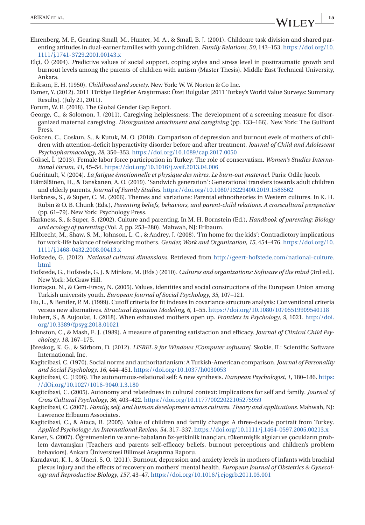- <span id="page-14-0"></span>Ehrenberg, M. F., Gearing-Small, M., Hunter, M. A., & Small, B. J. (2001). Childcare task division and shared parenting attitudes in dual-earner families with young children. *Family Relations*, *50*, 143–153. [https://doi.org/10.](https://doi.org/10.1111/j.1741-3729.2001.00143.x) [1111/j.1741-3729.2001.00143.x](https://doi.org/10.1111/j.1741-3729.2001.00143.x)
- Elçi, Ö (2004). *P*redictive values of social support, coping styles and stress level in posttraumatic growth and burnout levels among the parents of children with autism (Master Thesis). Middle East Technical University, Ankara.
- Erikson, E. H. (1950). *Childhood and society*. New York: W. W. Norton & Co Inc.
- Esmer, Y. (2012). 2011 Türkiye Degĕrler Arastırması: Özet Bulgular [2011 Turkey's World Value Surveys: Summary Results]. (July 21, 2011).
- Forum, W. E. (2018). The Global Gender Gap Report.
- George, C., & Solomon, J. (2011). Caregiving helplessness: The development of a screening measure for disorganized maternal caregiving. *Disorganized attachment and caregiving* (pp. 133–166). New York: The Guilford Press.
- Gokcen, C., Coskun, S., & Kutuk, M. O. (2018). Comparison of depression and burnout evels of mothers of children with attention-deficit hyperactivity disorder before and after treatment. *Journal of Child and Adolescent Psychopharmacology*, *28*, 350–353. <https://doi.org/10.1089/cap.2017.0050>
- Göksel, İ. (2013). Female labor force participation in Turkey: The role of conservatism. *Women's Studies International Forum*, *41*, 45–54. <https://doi.org/10.1016/j.wsif.2013.04.006>
- Guéritault, V. (2004). *La fatigue émotionnelle et physique des mères. Le burn-out maternel*. Paris: Odile Jacob.
- Hämäläinen, H., & Tanskanen, A. O. (2019). 'Sandwich generation': Generational transfers towards adult children and elderly parents. *Journal of Family Studies*. <https://doi.org/10.1080/13229400.2019.1586562>
- Harkness, S., & Super, C. M. (2006). Themes and variations: Parental ethnotheories in Western cultures. In K. H. Rubin & O. B. Chunk (Eds.), *Parenting beliefs, behaviors, and parent-child relations. A crosscultural perspective* (pp. 61–79). New York: Psychology Press.
- Harkness, S., & Super, S. (2002). Culture and parenting. In M. H. Bornstein (Ed.), *Handbook of parenting: Biology and ecology of parenting* (Vol. *2*, pp. 253–280). Mahwah, NJ: Erlbaum.
- Hilbrecht, M., Shaw, S. M., Johnson, L. C., & Andrey, J. (2008). 'I'm home for the kids': Contradictory implications for work-life balance of teleworking mothers. *Gender, Work and Organization*, *15*, 454–476. [https://doi.org/10.](https://doi.org/10.1111/j.1468-0432.2008.00413.x) [1111/j.1468-0432.2008.00413.x](https://doi.org/10.1111/j.1468-0432.2008.00413.x)
- Hofstede, G. (2012). *National cultural dimensions*. Retrieved from [http://geert-hofstede.com/national-culture.](http://geert-hofstede.com/national-culture.html) [html](http://geert-hofstede.com/national-culture.html)
- Hofstede, G., Hofstede, G. J. & Minkov, M. (Eds.) (2010). *Cultures and organizations: Software of the mind* (3rd ed.). New York: McGraw Hill.
- Hortaçsu, N., & Cem-Ersoy, N. (2005). Values, identities and social constructions of the European Union among Turkish university youth. *European Journal of Social Psychology*, *35*, 107–121.
- Hu, L., & Bentler, P. M. (1999). Cutoff criteria for fit indexes in covariance structure analysis: Conventional criteria versus new alternatives. *Structural Equation Modeling*, *6*, 1–55. <https://doi.org/10.1080/10705519909540118>
- Hubert, S., & Aujoulat, I. (2018). When exhausted mothers open up. *Frontiers in Psychology*, *9*, 1021. [http://doi.](http://doi.org/10.3389/fpsyg.2018.01021) [org/10.3389/fpsyg.2018.01021](http://doi.org/10.3389/fpsyg.2018.01021)
- Johnston, C., & Mash, E. J. (1989). A measure of parenting satisfaction and efficacy. *Journal of Clinical Child Psychology*, *18*, 167–175.
- Jöreskog, K. G., & Sörbom, D. (2012). *LISREL 9 for Windows [Computer software]*. Skokie, IL: Scientific Software International, Inc.
- Kagitcibasi, C. (1970). Social norms and authoritarianism: A Turkish-American comparison. *Journal of Personality and Social Psychology*, *16*, 444–451. <https://doi.org/10.1037/h0030053>
- Kagitcibasi, C. (1996). The autonomous-relational self: A new synthesis. *European Psychologist*, *1*, 180–186. [https:](https://dOi.org/10.1027/1016-9040.1.3.180) [//dOi.org/10.1027/1016-9040.1.3.180](https://dOi.org/10.1027/1016-9040.1.3.180)
- Kagitcibasi, C. (2005). Autonomy and relatedness in cultural context: Implications for self and family. *Journal of Cross Cultural Psychology*, *36*, 403–422. <https://doi.org/10.1177/0022022105275959>
- Kagitcibasi, C. (2007). *Family, self, and human development across cultures. Theory and applications*. Mahwah, NJ: Lawrence Erlbaum Associates.
- Kagitcibasi, C., & Ataca, B. (2005). Value of children and family change: A three-decade portrait from Turkey. *Applied Psychology: An International Review*, *54*, 317–337. <https://doi.org/10.1111/j.1464-0597.2005.00213.x>
- Kaner, S. (2007). Öğretmenlerin ve anne-babaların öz-yetkinlik inançları, tükenmişlik algıları ve çocukların problem davranışları [Teachers and parents self-efficacy beliefs, burnout perceptions and children's problem behaviors]. Ankara Üniversitesi Bilimsel Araştırma Raporu.
- Karadavut, K. I., & Uneri, S. O. (2011). Burnout, depression and anxiety levels in mothers of infants with brachial plexus injury and the effects of recovery on mothers' mental health. *European Journal of Obstetrics & Gynecology and Reproductive Biology*, *157*, 43–47. <https://doi.org/10.1016/j.ejogrb.2011.03.001>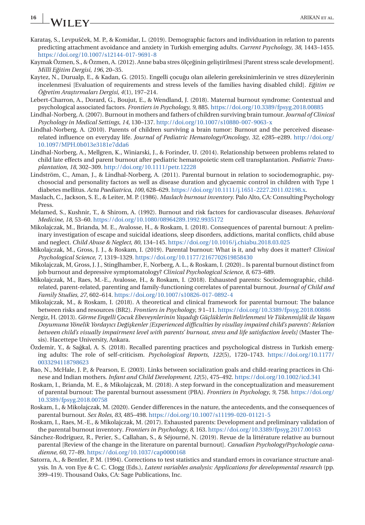## <span id="page-15-0"></span>**16 ARIKAN ET ALL ARIKAN ET AL.**

- Karataş, S., Levpušček, M. P., & Komidar, L. (2019). Demographic factors and individuation in relation to parents predicting attachment avoidance and anxiety in Turkish emerging adults. *Current Psychology*, *38*, 1443–1455. <https://doi.org/10.1007/s12144-017-9691-8>
- Kaymak Özmen, S., & Özmen, A. (2012). Anne baba stres ölçeğinin geliştirilmesi [Parent stress scale development]. *Millî Egitim Dergisi ˘* , *196*, 20–35.
- Kaytez, N., Durualp, E., & Kadan, G. (2015). Engelli çocugu olan ailelerin gereksinimlerinin ve stres düzeylerinin ˘ incelenmesi [Evaluation of requirements and stress levels of the families having disabled child]. *Egitim ve ˘ Ögretim Ara¸ ˘ stırmaları Dergisi*, *4*(1), 197–214.
- Lebert-Charron, A., Dorard, G., Boujut, E., & Wendland, J. (2018). Maternal burnout syndrome: Contextual and psychological associated factors. *Frontiers in Psychology*, *9*, 885. <https://doi.org/10.3389/fpsyg.2018.00885>
- Lindhal-Norberg, A. (2007). Burnout in mothers and fathers of children surviving brain tumour. *Journal of Clinical Psychology in Medical Settings*, *14*, 130–137. <http://doi.org/10.1007/s10880-007-9063-x>
- Lindhal-Norberg, A. (2010). Parents of children surviving a brain tumor: Burnout and the perceived diseaserelated influence on everyday life. *Journal of Pediatric Hematology/Oncology*, *32*, e285–e289. [http://doi.org/](http://doi.org/10.1097/MPH.0b013e3181e7dda6) [10.1097/MPH.0b013e3181e7dda6](http://doi.org/10.1097/MPH.0b013e3181e7dda6)
- Lindhal-Norberg, A., Mellgren, K., Winiarski, J., & Forinder, U. (2014). Relationship between problems related to child late effects and parent burnout after pediatric hematopoietic stem cell transplantation. *Pediatric Transplantation*, *18*, 302–309. <http://doi.org/10.1111/petr.12228>
- Lindström, C., Aman, J., & Lindhal-Norberg, A. (2011). Parental burnout in relation to sociodemographic, psychosocial and personality factors as well as disease duration and glycaemic control in children with Type 1 diabetes mellitus. *Acta Paediatrica*, *100*, 628–629. [https://doi.org/10.1111/j.1651-2227.2011.02198.x.](https://doi.org/10.1111/j.1651-2227.2011.02198.x)
- Maslach, C., Jackson, S. E., & Leiter, M. P. (1986). *Maslach burnout inventory*. Palo Alto, CA: Consulting Psychology Press.
- Melamed, S., Kushnir, T., & Shirom, A. (1992). Burnout and risk factors for cardiovascular diseases. *Behavioral Medicine*, *18*, 53–60. <https://doi.org/10.1080/08964289.1992.9935172>
- Mikolajczak, M., Brianda, M. E., Avalosse, H., & Roskam, I. (2018). Consequences of parental burnout: A preliminary investigation of escape and suicidal ideations, sleep disorders, addictions, marital conflicts, child abuse and neglect. *Child Abuse & Neglect*, *80*, 134–145. <https://doi.org/10.1016/j.chiabu.2018.03.025>
- Mikolajczak, M., Gross, J. J., & Roskam, I. (2019). Parental burnout: What is it, and why does it matter? *Clinical Psychological Science*, *7*, 1319–1329. <https://doi.org/10.1177/2167702619858430>
- Mikolajczak, M, Gross, J. J., Stinglhamber, F., Norberg, A. L., & Roskam, I. (2020).. Is parental burnout distinct from job burnout and depressive symptomatology? *Clinical Psychological Science*, *8*, 673–689.
- Mikolajczak, M., Raes, M.-E., Avalosse, H., & Roskam, I. (2018). Exhausted parents: Sociodemographic, childrelated, parent-related, parenting and family-functioning correlates of parental burnout. *Journal of Child and Family Studies*, *27*, 602–614. <https://doi.org/10.1007/s10826-017-0892-4>
- Mikolajczak, M., & Roskam, I. (2018). A theoretical and clinical framework for parental burnout: The balance between risks and resources (BR2). *Frontiers in Psychology*, *9* 1–11. <https://doi.org/10.3389/fpsyg.2018.00886>
- Nergiz, H. (2013). *Görme Engelli Çocuk Ebeveynlerinin Ya¸sadıgı Güçlüklerin Belirlenmesi Ve Tükenmi¸ ˘ slik ile Ya¸sam Doyumuna Yönelik Yordayıcı Degi¸ ˘ skenler [Experienced difficulties by visullay impaired child's parents': Relation between child's visually impairment level with parents' burnout, stress and life satisfaction levels]* (Master Thesis). Hacettepe University, Ankara.
- Özdemir, Y., & Sagkal, A. S. (2018). Recalled parenting practices and psychological distress in Turkish emerg- ˘ ing adults: The role of self-criticism. *Psychological Reports*, *122*(5), 1720–1743. [https://doi.org/10.1177/](https://doi.org/10.1177/0033294118798623) [0033294118798623](https://doi.org/10.1177/0033294118798623)
- Rao, N., McHale, J. P., & Pearson, E. (2003). Links between socialization goals and child-rearing practices in Chinese and Indian mothers. *Infant and Child Development*, *12*(5), 475–492. <https://doi.org/10.1002/icd.341>
- Roskam, I., Brianda, M. E., & Mikolajczak, M. (2018). A step forward in the conceptualization and measurement of parental burnout: The parental burnout assessment (PBA). *Frontiers in Psychology*, *9*, 758. [https://doi.org/](https://doi.org/10.3389/fpsyg.2018.00758) [10.3389/fpsyg.2018.00758](https://doi.org/10.3389/fpsyg.2018.00758)
- Roskam, I., & Mikolajczak, M. (2020). Gender differences in the nature, the antecedents, and the consequences of parental burnout. *Sex Roles*, *83*, 485–498. <https://doi.org/10.1007/s11199-020-01121-5>
- Roskam, I., Raes, M.-E., & Mikolajczak, M. (2017). Exhausted parents: Development and preliminary validation of the parental burnout inventory. *Frontiers in Psychology*, *8*, 163. <https://doi.org/10.3389/fpsyg.2017.00163>
- Sánchez-Rodríguez, R., Perier, S., Callahan, S., & Séjourné, N. (2019). Revue de la littérature relative au burnout parental [Review of the change in the literature on parental burnout]. *Canadian Psychology/Psychologie canadienne*, *60*, 77–89. <https://doi.org/10.1037/cap0000168>
- Satorra, A., & Bentler, P. M. (1994). Corrections to test statistics and standard errors in covariance structure analysis. In A. von Eye & C. C. Clogg (Eds.), *Latent variables analysis: Applications for developmental research* (pp. 399–419). Thousand Oaks, CA: Sage Publications, Inc.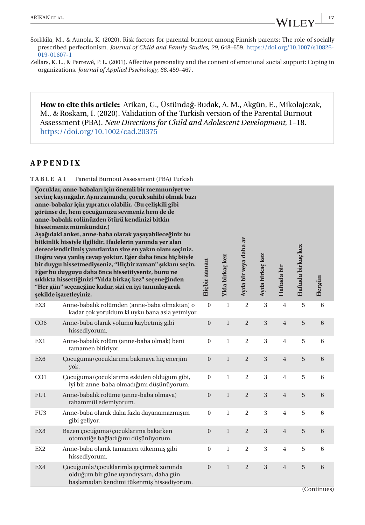<span id="page-16-0"></span>Zellars, K. L., & Perrewé, P. L. (2001). Affective personality and the content of emotional social support: Coping in organizations. *Journal of Applied Psychology*, *86*, 459–467.

**How to cite this article:** Arikan, G., Üstündag-Budak, A. M., Akgün, E., Mikolajczak, ˘ M., & Roskam, I. (2020). Validation of the Turkish version of the Parental Burnout Assessment (PBA). *New Directions for Child and Adolescent Development*, 1–18. <https://doi.org/10.1002/cad.20375>

#### **APPENDIX**

**TABLE A1** Parental Burnout Assessment (PBA) Turkish

|                 | Çocuklar, anne-babaları için önemli bir memnuniyet ve<br>sevinç kaynağıdır. Aynı zamanda, çocuk sahibi olmak bazı<br>anne-babalar için yıpratıcı olabilir. (Bu çelişkili gibi<br>görünse de, hem çocuğunuzu sevmeniz hem de de<br>anne-babalık rolünüzden ötürü kendinizi bitkin<br>hissetmeniz mümkündür.)<br>Aşağıdaki anket, anne-baba olarak yaşayabileceğiniz bu<br>bitkinlik hissiyle ilgilidir. İfadelerin yanında yer alan<br>derecelendirilmiş yanıtlardan size en yakın olanı seçiniz.<br>Doğru veya yanlış cevap yoktur. Eğer daha önce hiç böyle<br>bir duygu hissetmediyseniz, "Hiçbir zaman" şıkkını seçin.<br>Eğer bu duyguyu daha önce hissettiyseniz, bunu ne<br>sıklıkta hissettiğinizi "Yılda birkaç kez" seçeneğinden<br>"Her gün" seçeneğine kadar, sizi en iyi tanımlayacak<br>şekilde işaretleyiniz. | Hiçbir zaman     | Ylda birkaç kez | Ayda bir veya daha az | Ayda birkaç kez | Haftada bir    | Haftada birkaç kez | Hergün  |
|-----------------|-----------------------------------------------------------------------------------------------------------------------------------------------------------------------------------------------------------------------------------------------------------------------------------------------------------------------------------------------------------------------------------------------------------------------------------------------------------------------------------------------------------------------------------------------------------------------------------------------------------------------------------------------------------------------------------------------------------------------------------------------------------------------------------------------------------------------------|------------------|-----------------|-----------------------|-----------------|----------------|--------------------|---------|
| EX3             | Anne-babalık rolümden (anne-baba olmaktan) o<br>kadar çok yoruldum ki uyku bana asla yetmiyor.                                                                                                                                                                                                                                                                                                                                                                                                                                                                                                                                                                                                                                                                                                                              | $\mathbf{0}$     | $\mathbf 1$     | $\overline{2}$        | 3               | $\overline{4}$ | 5                  | 6       |
| CO6             | Anne-baba olarak yolumu kaybetmiş gibi<br>hissediyorum.                                                                                                                                                                                                                                                                                                                                                                                                                                                                                                                                                                                                                                                                                                                                                                     | $\boldsymbol{0}$ | $\!1$           | $\overline{2}$        | $\sqrt{3}$      | $\overline{4}$ | $\sqrt{5}$         | $6\,$   |
| EX1             | Anne-babalık rolüm (anne-baba olmak) beni<br>tamamen bitiriyor.                                                                                                                                                                                                                                                                                                                                                                                                                                                                                                                                                                                                                                                                                                                                                             | $\mathbf{0}$     | $\mathbf{1}$    | $\overline{2}$        | 3               | $\overline{4}$ | 5                  | 6       |
| EX <sub>6</sub> | Çocuğuma/çocuklarıma bakmaya hiç enerjim<br>yok.                                                                                                                                                                                                                                                                                                                                                                                                                                                                                                                                                                                                                                                                                                                                                                            | $\boldsymbol{0}$ | $\!1$           | $\sqrt{2}$            | 3               | $\overline{4}$ | $\sqrt{5}$         | $\,6\,$ |
| CO <sub>1</sub> | Çocuğuma/çocuklarıma eskiden olduğum gibi,<br>iyi bir anne-baba olmadığımı düşünüyorum.                                                                                                                                                                                                                                                                                                                                                                                                                                                                                                                                                                                                                                                                                                                                     | $\boldsymbol{0}$ | $\mathbf{1}$    | $\overline{c}$        | 3               | $\,4\,$        | $\mathbf 5$        | $\,6\,$ |
| FU1             | Anne-babalık rolüme (anne-baba olmaya)<br>tahammül edemiyorum.                                                                                                                                                                                                                                                                                                                                                                                                                                                                                                                                                                                                                                                                                                                                                              | $\mathbf{0}$     | $\mathbf{1}$    | $\overline{2}$        | 3               | $\overline{4}$ | $\overline{5}$     | 6       |
| FU <sub>3</sub> | Anne-baba olarak daha fazla dayanamazmışım<br>gibi geliyor.                                                                                                                                                                                                                                                                                                                                                                                                                                                                                                                                                                                                                                                                                                                                                                 | $\mathbf{0}$     | $\mathbf{1}$    | $\overline{2}$        | 3               | $\overline{4}$ | 5                  | 6       |
| EX8             | Bazen çocuğuma/çocuklarıma bakarken<br>otomatiğe bağladığımı düşünüyorum.                                                                                                                                                                                                                                                                                                                                                                                                                                                                                                                                                                                                                                                                                                                                                   | $\boldsymbol{0}$ | $\mathbf{1}$    | $\overline{2}$        | 3               | $\overline{4}$ | 5                  | $6\,$   |
| EX <sub>2</sub> | Anne-baba olarak tamamen tükenmiş gibi<br>hissediyorum.                                                                                                                                                                                                                                                                                                                                                                                                                                                                                                                                                                                                                                                                                                                                                                     | $\boldsymbol{0}$ | $\mathbf 1$     | $\overline{2}$        | 3               | $\overline{4}$ | 5                  | 6       |
| EX4             | Çocuğumla/çocuklarımla geçirmek zorunda<br>olduğum bir güne uyandıysam, daha gün<br>başlamadan kendimi tükenmiş hissediyorum.                                                                                                                                                                                                                                                                                                                                                                                                                                                                                                                                                                                                                                                                                               | $\overline{0}$   | $\mathbf{1}$    | $\overline{2}$        | 3               | $\overline{4}$ | 5                  | 6       |

(Continues)